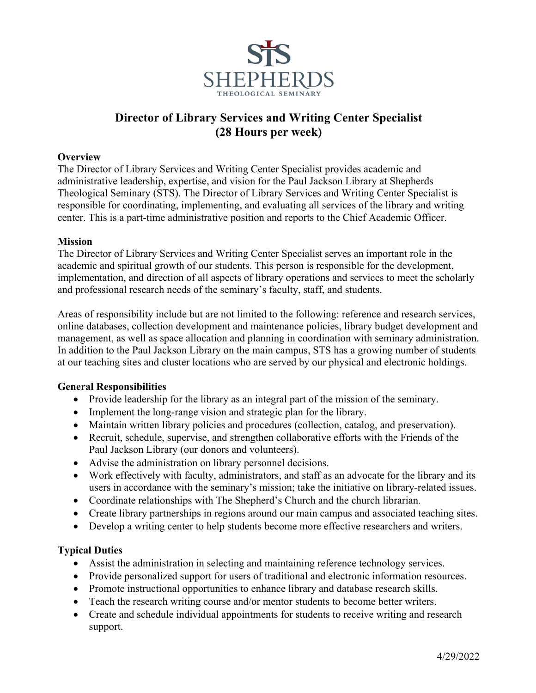

# **Director of Library Services and Writing Center Specialist (28 Hours per week)**

#### **Overview**

The Director of Library Services and Writing Center Specialist provides academic and administrative leadership, expertise, and vision for the Paul Jackson Library at Shepherds Theological Seminary (STS). The Director of Library Services and Writing Center Specialist is responsible for coordinating, implementing, and evaluating all services of the library and writing center. This is a part-time administrative position and reports to the Chief Academic Officer.

#### **Mission**

The Director of Library Services and Writing Center Specialist serves an important role in the academic and spiritual growth of our students. This person is responsible for the development, implementation, and direction of all aspects of library operations and services to meet the scholarly and professional research needs of the seminary's faculty, staff, and students.

Areas of responsibility include but are not limited to the following: reference and research services, online databases, collection development and maintenance policies, library budget development and management, as well as space allocation and planning in coordination with seminary administration. In addition to the Paul Jackson Library on the main campus, STS has a growing number of students at our teaching sites and cluster locations who are served by our physical and electronic holdings.

#### **General Responsibilities**

- Provide leadership for the library as an integral part of the mission of the seminary.
- Implement the long-range vision and strategic plan for the library.
- Maintain written library policies and procedures (collection, catalog, and preservation).
- Recruit, schedule, supervise, and strengthen collaborative efforts with the Friends of the Paul Jackson Library (our donors and volunteers).
- Advise the administration on library personnel decisions.
- Work effectively with faculty, administrators, and staff as an advocate for the library and its users in accordance with the seminary's mission; take the initiative on library-related issues.
- Coordinate relationships with The Shepherd's Church and the church librarian.
- Create library partnerships in regions around our main campus and associated teaching sites.
- Develop a writing center to help students become more effective researchers and writers.

#### **Typical Duties**

- Assist the administration in selecting and maintaining reference technology services.
- Provide personalized support for users of traditional and electronic information resources.
- Promote instructional opportunities to enhance library and database research skills.
- Teach the research writing course and/or mentor students to become better writers.
- Create and schedule individual appointments for students to receive writing and research support.